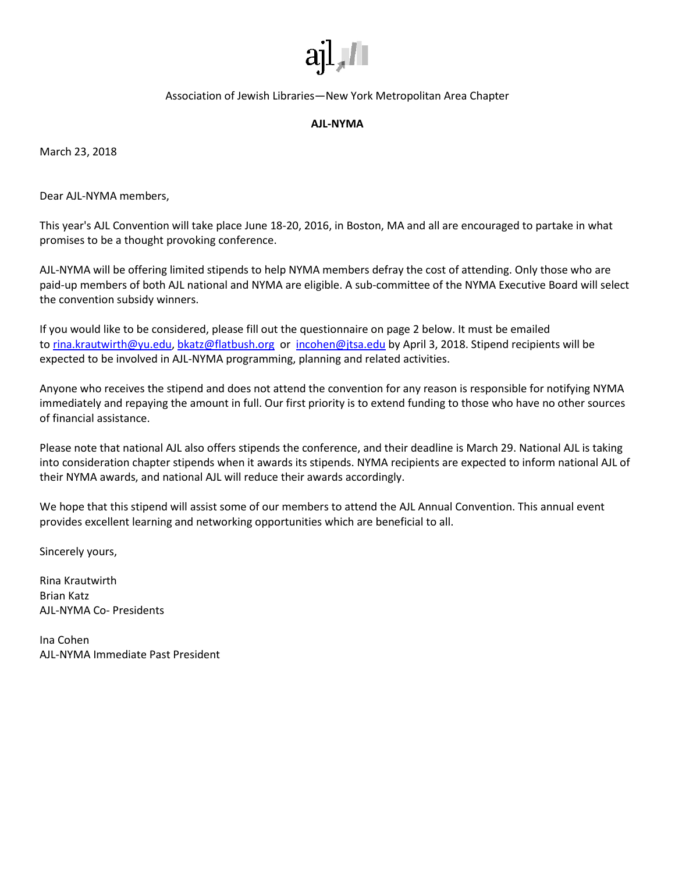

Association of Jewish Libraries—New York Metropolitan Area Chapter

## **AJL-NYMA**

March 23, 2018

Dear AJL-NYMA members,

This year's AJL Convention will take place June 18-20, 2016, in Boston, MA and all are encouraged to partake in what promises to be a thought provoking conference.

AJL-NYMA will be offering limited stipends to help NYMA members defray the cost of attending. Only those who are paid-up members of both AJL national and NYMA are eligible. A sub-committee of the NYMA Executive Board will select the convention subsidy winners.

If you would like to be considered, please fill out the questionnaire on page 2 below. It must be emailed to [rina.krautwirth@yu.edu,](mailto:rina.krautwirth@yu.edu) [bkatz@flatbush.org](mailto:bkatz@flatbush.org) or [incohen@jtsa.edu](mailto:incohen@jtsa.edu) by April 3, 2018. Stipend recipients will be expected to be involved in AJL-NYMA programming, planning and related activities.

Anyone who receives the stipend and does not attend the convention for any reason is responsible for notifying NYMA immediately and repaying the amount in full. Our first priority is to extend funding to those who have no other sources of financial assistance.

Please note that national AJL also offers stipends the conference, and their deadline is March 29. National AJL is taking into consideration chapter stipends when it awards its stipends. NYMA recipients are expected to inform national AJL of their NYMA awards, and national AJL will reduce their awards accordingly.

We hope that this stipend will assist some of our members to attend the AJL Annual Convention. This annual event provides excellent learning and networking opportunities which are beneficial to all.

Sincerely yours,

Rina Krautwirth Brian Katz AJL-NYMA Co- Presidents

Ina Cohen AJL-NYMA Immediate Past President